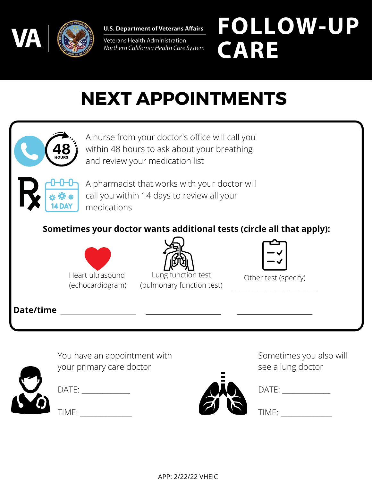

Veterans Health Administration Northern California Health Care System

# **FOLLOW-UP CARE**

### **NEXT APPOINTMENTS**

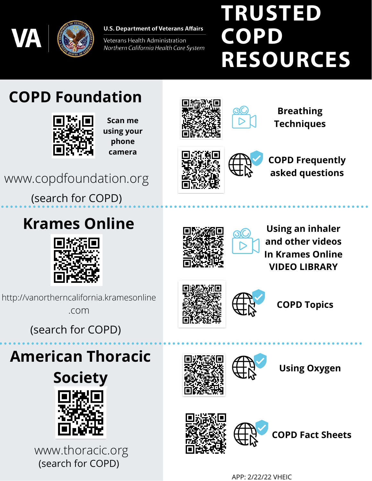

Veterans Health Administration Northern California Health Care System

## **TRUSTED COPD RESOURCES**

#### **COPD Foundation**



**Scan me using your phone camera**



QC

**Breathing Techniques**



**COPD Frequently asked questions**

www.copdfoundation.org

(search for COPD)

#### **Krames Online**





**Using an inhaler and other videos In Krames Online VIDEO LIBRARY**

[http://vanortherncalifornia.kramesonline](http://vanortherncalifornia.kramesonline.com/) [.com](http://vanortherncalifornia.kramesonline.com/)

(search for COPD)



**COPD Topics**

**American Thoracic**



www.thoracic.org (search for COPD)





**Using Oxygen**





APP: 2/22/22 VHEIC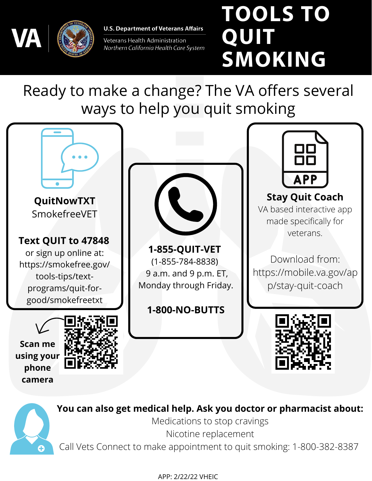

Veterans Health Administration Northern California Health Care System

## **TOOLS TO QUIT SMOKING**

Ready to make a change? The VA offers several ways to help you quit smoking





**You can also get medical help. Ask you doctor or pharmacist about:**

Medications to stop cravings Nicotine replacement

Call Vets Connect to make appointment to quit smoking: 1-800-382-8387

APP: 2/22/22 VHEIC